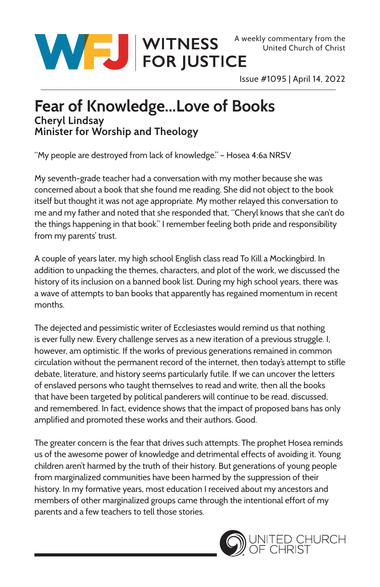

Issue #1095 | April 14, 2022

## **Fear of Knowledge...Love of Books Cheryl Lindsay Minister for Worship and Theology**

"My people are destroyed from lack of knowledge." – Hosea 4:6a NRSV

My seventh-grade teacher had a conversation with my mother because she was concerned about a book that she found me reading. She did not object to the book itself but thought it was not age appropriate. My mother relayed this conversation to me and my father and noted that she responded that, "Cheryl knows that she can't do the things happening in that book." I remember feeling both pride and responsibility from my parents' trust.

A couple of years later, my high school English class read To Kill a Mockingbird. In addition to unpacking the themes, characters, and plot of the work, we discussed the history of its inclusion on a banned book list. During my high school years, there was a wave of attempts to ban books that apparently has regained momentum in recent months.

The dejected and pessimistic writer of Ecclesiastes would remind us that nothing is ever fully new. Every challenge serves as a new iteration of a previous struggle. I, however, am optimistic. If the works of previous generations remained in common circulation without the permanent record of the internet, then today's attempt to stifle debate, literature, and history seems particularly futile. If we can uncover the letters of enslaved persons who taught themselves to read and write, then all the books that have been targeted by political panderers will continue to be read, discussed, and remembered. In fact, evidence shows that the impact of proposed bans has only amplified and promoted these works and their authors. Good.

The greater concern is the fear that drives such attempts. The prophet Hosea reminds us of the awesome power of knowledge and detrimental effects of avoiding it. Young children aren't harmed by the truth of their history. But generations of young people from marginalized communities have been harmed by the suppression of their history. In my formative years, most education I received about my ancestors and members of other marginalized groups came through the intentional effort of my parents and a few teachers to tell those stories.